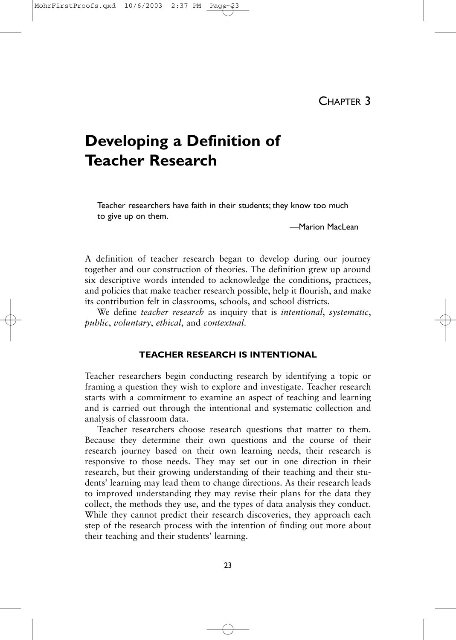## CHAPTER 3

# **Developing a Definition of Teacher Research**

Teacher researchers have faith in their students; they know too much to give up on them.

—Marion MacLean

A definition of teacher research began to develop during our journey together and our construction of theories. The definition grew up around six descriptive words intended to acknowledge the conditions, practices, and policies that make teacher research possible, help it flourish, and make its contribution felt in classrooms, schools, and school districts.

We define *teacher research* as inquiry that is *intentional*, *systematic*, *public*, *voluntary*, *ethical*, and *contextual*.

#### **TEACHER RESEARCH IS INTENTIONAL**

Teacher researchers begin conducting research by identifying a topic or framing a question they wish to explore and investigate. Teacher research starts with a commitment to examine an aspect of teaching and learning and is carried out through the intentional and systematic collection and analysis of classroom data.

Teacher researchers choose research questions that matter to them. Because they determine their own questions and the course of their research journey based on their own learning needs, their research is responsive to those needs. They may set out in one direction in their research, but their growing understanding of their teaching and their students' learning may lead them to change directions. As their research leads to improved understanding they may revise their plans for the data they collect, the methods they use, and the types of data analysis they conduct. While they cannot predict their research discoveries, they approach each step of the research process with the intention of finding out more about their teaching and their students' learning.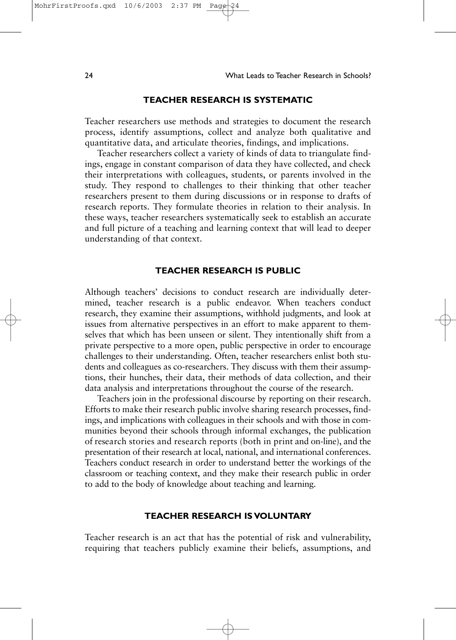24 What Leads to Teacher Research in Schools?

#### **TEACHER RESEARCH IS SYSTEMATIC**

Teacher researchers use methods and strategies to document the research process, identify assumptions, collect and analyze both qualitative and quantitative data, and articulate theories, findings, and implications.

Teacher researchers collect a variety of kinds of data to triangulate findings, engage in constant comparison of data they have collected, and check their interpretations with colleagues, students, or parents involved in the study. They respond to challenges to their thinking that other teacher researchers present to them during discussions or in response to drafts of research reports. They formulate theories in relation to their analysis. In these ways, teacher researchers systematically seek to establish an accurate and full picture of a teaching and learning context that will lead to deeper understanding of that context.

#### **TEACHER RESEARCH IS PUBLIC**

Although teachers' decisions to conduct research are individually determined, teacher research is a public endeavor. When teachers conduct research, they examine their assumptions, withhold judgments, and look at issues from alternative perspectives in an effort to make apparent to themselves that which has been unseen or silent. They intentionally shift from a private perspective to a more open, public perspective in order to encourage challenges to their understanding. Often, teacher researchers enlist both students and colleagues as co-researchers. They discuss with them their assumptions, their hunches, their data, their methods of data collection, and their data analysis and interpretations throughout the course of the research.

Teachers join in the professional discourse by reporting on their research. Efforts to make their research public involve sharing research processes, findings, and implications with colleagues in their schools and with those in communities beyond their schools through informal exchanges, the publication of research stories and research reports (both in print and on-line), and the presentation of their research at local, national, and international conferences. Teachers conduct research in order to understand better the workings of the classroom or teaching context, and they make their research public in order to add to the body of knowledge about teaching and learning.

#### **TEACHER RESEARCH IS VOLUNTARY**

Teacher research is an act that has the potential of risk and vulnerability, requiring that teachers publicly examine their beliefs, assumptions, and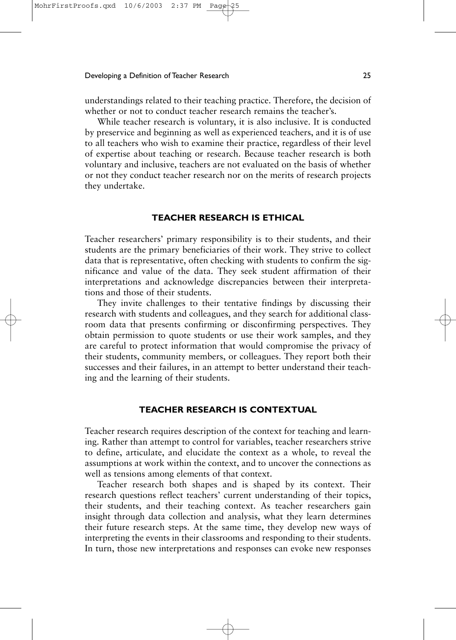#### Developing a Definition of Teacher Research 25

understandings related to their teaching practice. Therefore, the decision of whether or not to conduct teacher research remains the teacher's.

While teacher research is voluntary, it is also inclusive. It is conducted by preservice and beginning as well as experienced teachers, and it is of use to all teachers who wish to examine their practice, regardless of their level of expertise about teaching or research. Because teacher research is both voluntary and inclusive, teachers are not evaluated on the basis of whether or not they conduct teacher research nor on the merits of research projects they undertake.

#### **TEACHER RESEARCH IS ETHICAL**

Teacher researchers' primary responsibility is to their students, and their students are the primary beneficiaries of their work. They strive to collect data that is representative, often checking with students to confirm the significance and value of the data. They seek student affirmation of their interpretations and acknowledge discrepancies between their interpretations and those of their students.

They invite challenges to their tentative findings by discussing their research with students and colleagues, and they search for additional classroom data that presents confirming or disconfirming perspectives. They obtain permission to quote students or use their work samples, and they are careful to protect information that would compromise the privacy of their students, community members, or colleagues. They report both their successes and their failures, in an attempt to better understand their teaching and the learning of their students.

### **TEACHER RESEARCH IS CONTEXTUAL**

Teacher research requires description of the context for teaching and learning. Rather than attempt to control for variables, teacher researchers strive to define, articulate, and elucidate the context as a whole, to reveal the assumptions at work within the context, and to uncover the connections as well as tensions among elements of that context.

Teacher research both shapes and is shaped by its context. Their research questions reflect teachers' current understanding of their topics, their students, and their teaching context. As teacher researchers gain insight through data collection and analysis, what they learn determines their future research steps. At the same time, they develop new ways of interpreting the events in their classrooms and responding to their students. In turn, those new interpretations and responses can evoke new responses